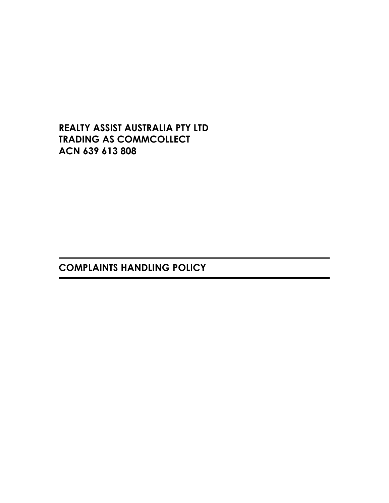REALTY ASSIST AUSTRALIA PTY LTD TRADING AS COMMCOLLECT ACN 639 613 808

COMPLAINTS HANDLING POLICY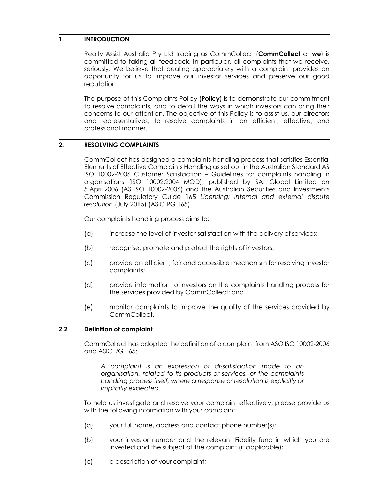### 1. INTRODUCTION

Realty Assist Australia Pty Ltd trading as CommCollect (CommCollect or we) is committed to taking all feedback, in particular, all complaints that we receive, seriously. We believe that dealing appropriately with a complaint provides an opportunity for us to improve our investor services and preserve our good reputation.

The purpose of this Complaints Policy (Policy) is to demonstrate our commitment to resolve complaints, and to detail the ways in which investors can bring their concerns to our attention. The objective of this Policy is to assist us, our directors and representatives, to resolve complaints in an efficient, effective, and professional manner.

## 2. RESOLVING COMPLAINTS

CommCollect has designed a complaints handling process that satisfies Essential Elements of Effective Complaints Handling as set out in the Australian Standard AS ISO 10002-2006 Customer Satisfaction – Guidelines for complaints handling in organisations (ISO 10002:2004 MOD), published by SAI Global Limited on 5 April 2006 (AS ISO 10002-2006) and the Australian Securities and Investments Commission Regulatory Guide 165 Licensing: Internal and external dispute resolution (July 2015) (ASIC RG 165).

Our complaints handling process aims to:

- (a) increase the level of investor satisfaction with the delivery of services;
- (b) recognise, promote and protect the rights of investors;
- (c) provide an efficient, fair and accessible mechanism for resolving investor complaints;
- (d) provide information to investors on the complaints handling process for the services provided by CommCollect; and
- (e) monitor complaints to improve the quality of the services provided by CommCollect.

#### 2.2 Definition of complaint

CommCollect has adopted the definition of a complaint from ASO ISO 10002-2006 and ASIC RG 165:

A complaint is an expression of dissatisfaction made to an organisation, related to its products or services, or the complaints handling process itself, where a response or resolution is explicitly or implicitly expected.

To help us investigate and resolve your complaint effectively, please provide us with the following information with your complaint:

- (a) your full name, address and contact phone number(s);
- (b) your investor number and the relevant Fidelity fund in which you are invested and the subject of the complaint (if applicable);
- (c) a description of your complaint;